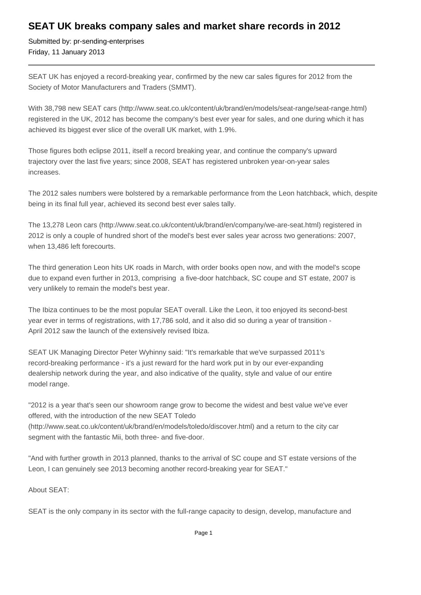## **SEAT UK breaks company sales and market share records in 2012**

Submitted by: pr-sending-enterprises Friday, 11 January 2013

SEAT UK has enjoyed a record-breaking year, confirmed by the new car sales figures for 2012 from the Society of Motor Manufacturers and Traders (SMMT).

With 38,798 new SEAT cars (http://www.seat.co.uk/content/uk/brand/en/models/seat-range/seat-range.html) registered in the UK, 2012 has become the company's best ever year for sales, and one during which it has achieved its biggest ever slice of the overall UK market, with 1.9%.

Those figures both eclipse 2011, itself a record breaking year, and continue the company's upward trajectory over the last five years; since 2008, SEAT has registered unbroken year-on-year sales increases.

The 2012 sales numbers were bolstered by a remarkable performance from the Leon hatchback, which, despite being in its final full year, achieved its second best ever sales tally.

The 13,278 Leon cars (http://www.seat.co.uk/content/uk/brand/en/company/we-are-seat.html) registered in 2012 is only a couple of hundred short of the model's best ever sales year across two generations: 2007, when 13,486 left forecourts.

The third generation Leon hits UK roads in March, with order books open now, and with the model's scope due to expand even further in 2013, comprising a five-door hatchback, SC coupe and ST estate, 2007 is very unlikely to remain the model's best year.

The Ibiza continues to be the most popular SEAT overall. Like the Leon, it too enjoyed its second-best year ever in terms of registrations, with 17,786 sold, and it also did so during a year of transition - April 2012 saw the launch of the extensively revised Ibiza.

SEAT UK Managing Director Peter Wyhinny said: "It's remarkable that we've surpassed 2011's record-breaking performance - it's a just reward for the hard work put in by our ever-expanding dealership network during the year, and also indicative of the quality, style and value of our entire model range.

"2012 is a year that's seen our showroom range grow to become the widest and best value we've ever offered, with the introduction of the new SEAT Toledo (http://www.seat.co.uk/content/uk/brand/en/models/toledo/discover.html) and a return to the city car segment with the fantastic Mii, both three- and five-door.

"And with further growth in 2013 planned, thanks to the arrival of SC coupe and ST estate versions of the Leon, I can genuinely see 2013 becoming another record-breaking year for SEAT."

About SEAT:

SEAT is the only company in its sector with the full-range capacity to design, develop, manufacture and